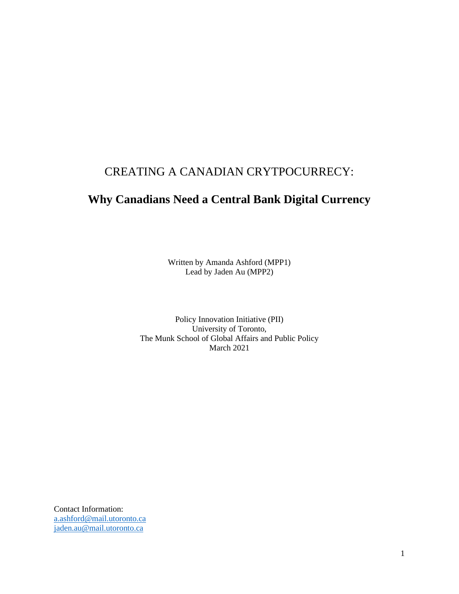# CREATING A CANADIAN CRYTPOCURRECY:

# **Why Canadians Need a Central Bank Digital Currency**

Written by Amanda Ashford (MPP1) Lead by Jaden Au (MPP2)

Policy Innovation Initiative (PII) University of Toronto, The Munk School of Global Affairs and Public Policy March 2021

Contact Information: [a.ashford@mail.utoronto.ca](mailto:a.ashford@mail.utoronto.ca) [jaden.au@mail.utoronto.ca](mailto:jaden.au@mail.utoronto.ca)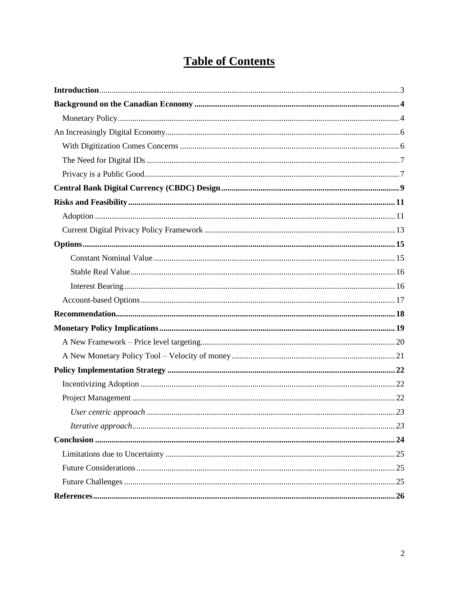# **Table of Contents**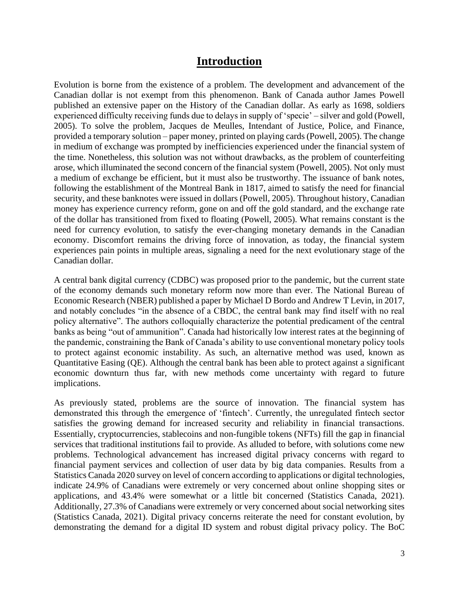## **Introduction**

<span id="page-2-0"></span>Evolution is borne from the existence of a problem. The development and advancement of the Canadian dollar is not exempt from this phenomenon. Bank of Canada author James Powell published an extensive paper on the History of the Canadian dollar. As early as 1698, soldiers experienced difficulty receiving funds due to delays in supply of 'specie' – silver and gold (Powell, 2005). To solve the problem, Jacques de Meulles, Intendant of Justice, Police, and Finance, provided a temporary solution – paper money, printed on playing cards (Powell, 2005). The change in medium of exchange was prompted by inefficiencies experienced under the financial system of the time. Nonetheless, this solution was not without drawbacks, as the problem of counterfeiting arose, which illuminated the second concern of the financial system (Powell, 2005). Not only must a medium of exchange be efficient, but it must also be trustworthy. The issuance of bank notes, following the establishment of the Montreal Bank in 1817, aimed to satisfy the need for financial security, and these banknotes were issued in dollars (Powell, 2005). Throughout history, Canadian money has experience currency reform, gone on and off the gold standard, and the exchange rate of the dollar has transitioned from fixed to floating (Powell, 2005). What remains constant is the need for currency evolution, to satisfy the ever-changing monetary demands in the Canadian economy. Discomfort remains the driving force of innovation, as today, the financial system experiences pain points in multiple areas, signaling a need for the next evolutionary stage of the Canadian dollar.

A central bank digital currency (CDBC) was proposed prior to the pandemic, but the current state of the economy demands such monetary reform now more than ever. The National Bureau of Economic Research (NBER) published a paper by Michael D Bordo and Andrew T Levin, in 2017, and notably concludes "in the absence of a CBDC, the central bank may find itself with no real policy alternative". The authors colloquially characterize the potential predicament of the central banks as being "out of ammunition". Canada had historically low interest rates at the beginning of the pandemic, constraining the Bank of Canada's ability to use conventional monetary policy tools to protect against economic instability. As such, an alternative method was used, known as Quantitative Easing (QE). Although the central bank has been able to protect against a significant economic downturn thus far, with new methods come uncertainty with regard to future implications.

As previously stated, problems are the source of innovation. The financial system has demonstrated this through the emergence of 'fintech'. Currently, the unregulated fintech sector satisfies the growing demand for increased security and reliability in financial transactions. Essentially, cryptocurrencies, stablecoins and non-fungible tokens (NFTs) fill the gap in financial services that traditional institutions fail to provide. As alluded to before, with solutions come new problems. Technological advancement has increased digital privacy concerns with regard to financial payment services and collection of user data by big data companies. Results from a Statistics Canada 2020 survey on level of concern according to applications or digital technologies, indicate 24.9% of Canadians were extremely or very concerned about online shopping sites or applications, and 43.4% were somewhat or a little bit concerned (Statistics Canada, 2021). Additionally, 27.3% of Canadians were extremely or very concerned about social networking sites (Statistics Canada, 2021). Digital privacy concerns reiterate the need for constant evolution, by demonstrating the demand for a digital ID system and robust digital privacy policy. The BoC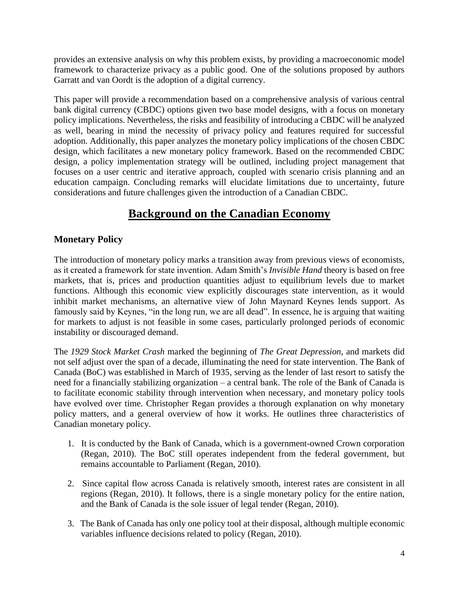provides an extensive analysis on why this problem exists, by providing a macroeconomic model framework to characterize privacy as a public good. One of the solutions proposed by authors Garratt and van Oordt is the adoption of a digital currency.

This paper will provide a recommendation based on a comprehensive analysis of various central bank digital currency (CBDC) options given two base model designs, with a focus on monetary policy implications. Nevertheless, the risks and feasibility of introducing a CBDC will be analyzed as well, bearing in mind the necessity of privacy policy and features required for successful adoption. Additionally, this paper analyzes the monetary policy implications of the chosen CBDC design, which facilitates a new monetary policy framework. Based on the recommended CBDC design, a policy implementation strategy will be outlined, including project management that focuses on a user centric and iterative approach, coupled with scenario crisis planning and an education campaign. Concluding remarks will elucidate limitations due to uncertainty, future considerations and future challenges given the introduction of a Canadian CBDC.

# **Background on the Canadian Economy**

## <span id="page-3-1"></span><span id="page-3-0"></span>**Monetary Policy**

The introduction of monetary policy marks a transition away from previous views of economists, as it created a framework for state invention. Adam Smith's *Invisible Hand* theory is based on free markets, that is, prices and production quantities adjust to equilibrium levels due to market functions. Although this economic view explicitly discourages state intervention, as it would inhibit market mechanisms, an alternative view of John Maynard Keynes lends support. As famously said by Keynes, "in the long run, we are all dead". In essence, he is arguing that waiting for markets to adjust is not feasible in some cases, particularly prolonged periods of economic instability or discouraged demand.

The *1929 Stock Market Crash* marked the beginning of *The Great Depression*, and markets did not self adjust over the span of a decade, illuminating the need for state intervention. The Bank of Canada (BoC) was established in March of 1935, serving as the lender of last resort to satisfy the need for a financially stabilizing organization – a central bank. The role of the Bank of Canada is to facilitate economic stability through intervention when necessary, and monetary policy tools have evolved over time. Christopher Regan provides a thorough explanation on why monetary policy matters, and a general overview of how it works. He outlines three characteristics of Canadian monetary policy.

- 1. It is conducted by the Bank of Canada, which is a government-owned Crown corporation (Regan, 2010). The BoC still operates independent from the federal government, but remains accountable to Parliament (Regan, 2010).
- 2. Since capital flow across Canada is relatively smooth, interest rates are consistent in all regions (Regan, 2010). It follows, there is a single monetary policy for the entire nation, and the Bank of Canada is the sole issuer of legal tender (Regan, 2010).
- 3. The Bank of Canada has only one policy tool at their disposal, although multiple economic variables influence decisions related to policy (Regan, 2010).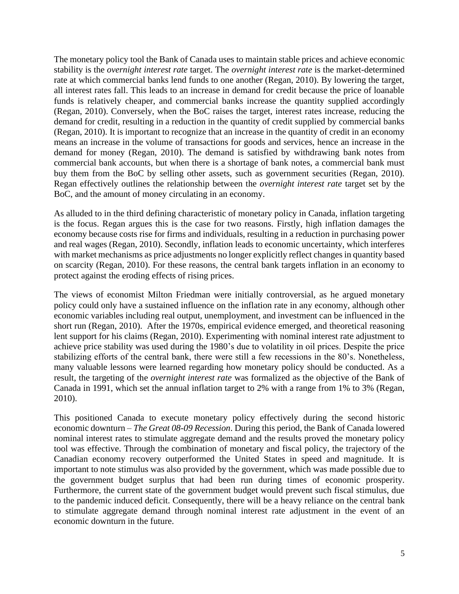The monetary policy tool the Bank of Canada uses to maintain stable prices and achieve economic stability is the *overnight interest rate* target. The *overnight interest rate* is the market-determined rate at which commercial banks lend funds to one another (Regan, 2010). By lowering the target, all interest rates fall. This leads to an increase in demand for credit because the price of loanable funds is relatively cheaper, and commercial banks increase the quantity supplied accordingly (Regan, 2010). Conversely, when the BoC raises the target, interest rates increase, reducing the demand for credit, resulting in a reduction in the quantity of credit supplied by commercial banks (Regan, 2010). It is important to recognize that an increase in the quantity of credit in an economy means an increase in the volume of transactions for goods and services, hence an increase in the demand for money (Regan, 2010). The demand is satisfied by withdrawing bank notes from commercial bank accounts, but when there is a shortage of bank notes, a commercial bank must buy them from the BoC by selling other assets, such as government securities (Regan, 2010). Regan effectively outlines the relationship between the *overnight interest rate* target set by the BoC, and the amount of money circulating in an economy.

As alluded to in the third defining characteristic of monetary policy in Canada, inflation targeting is the focus. Regan argues this is the case for two reasons. Firstly, high inflation damages the economy because costs rise for firms and individuals, resulting in a reduction in purchasing power and real wages (Regan, 2010). Secondly, inflation leads to economic uncertainty, which interferes with market mechanisms as price adjustments no longer explicitly reflect changes in quantity based on scarcity (Regan, 2010). For these reasons, the central bank targets inflation in an economy to protect against the eroding effects of rising prices.

The views of economist Milton Friedman were initially controversial, as he argued monetary policy could only have a sustained influence on the inflation rate in any economy, although other economic variables including real output, unemployment, and investment can be influenced in the short run (Regan, 2010). After the 1970s, empirical evidence emerged, and theoretical reasoning lent support for his claims (Regan, 2010). Experimenting with nominal interest rate adjustment to achieve price stability was used during the 1980's due to volatility in oil prices. Despite the price stabilizing efforts of the central bank, there were still a few recessions in the 80's. Nonetheless, many valuable lessons were learned regarding how monetary policy should be conducted. As a result, the targeting of the *overnight interest rate* was formalized as the objective of the Bank of Canada in 1991, which set the annual inflation target to 2% with a range from 1% to 3% (Regan, 2010).

This positioned Canada to execute monetary policy effectively during the second historic economic downturn – *The Great 08-09 Recession*. During this period, the Bank of Canada lowered nominal interest rates to stimulate aggregate demand and the results proved the monetary policy tool was effective. Through the combination of monetary and fiscal policy, the trajectory of the Canadian economy recovery outperformed the United States in speed and magnitude. It is important to note stimulus was also provided by the government, which was made possible due to the government budget surplus that had been run during times of economic prosperity. Furthermore, the current state of the government budget would prevent such fiscal stimulus, due to the pandemic induced deficit. Consequently, there will be a heavy reliance on the central bank to stimulate aggregate demand through nominal interest rate adjustment in the event of an economic downturn in the future.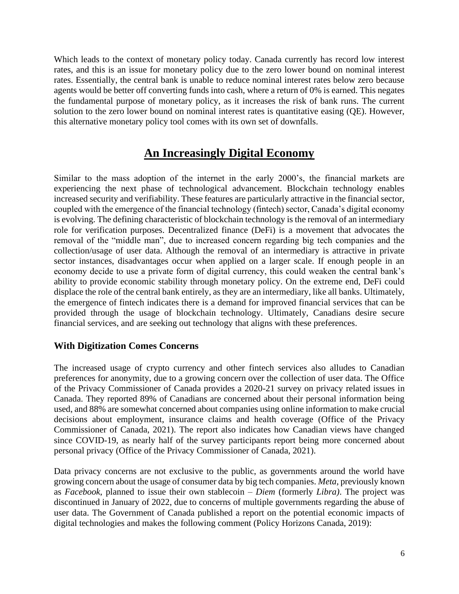Which leads to the context of monetary policy today. Canada currently has record low interest rates, and this is an issue for monetary policy due to the zero lower bound on nominal interest rates. Essentially, the central bank is unable to reduce nominal interest rates below zero because agents would be better off converting funds into cash, where a return of 0% is earned. This negates the fundamental purpose of monetary policy, as it increases the risk of bank runs. The current solution to the zero lower bound on nominal interest rates is quantitative easing (QE). However, this alternative monetary policy tool comes with its own set of downfalls.

# **An Increasingly Digital Economy**

<span id="page-5-0"></span>Similar to the mass adoption of the internet in the early 2000's, the financial markets are experiencing the next phase of technological advancement. Blockchain technology enables increased security and verifiability. These features are particularly attractive in the financial sector, coupled with the emergence of the financial technology (fintech) sector, Canada's digital economy is evolving. The defining characteristic of blockchain technology is the removal of an intermediary role for verification purposes. Decentralized finance (DeFi) is a movement that advocates the removal of the "middle man", due to increased concern regarding big tech companies and the collection/usage of user data. Although the removal of an intermediary is attractive in private sector instances, disadvantages occur when applied on a larger scale. If enough people in an economy decide to use a private form of digital currency, this could weaken the central bank's ability to provide economic stability through monetary policy. On the extreme end, DeFi could displace the role of the central bank entirely, as they are an intermediary, like all banks. Ultimately, the emergence of fintech indicates there is a demand for improved financial services that can be provided through the usage of blockchain technology. Ultimately, Canadians desire secure financial services, and are seeking out technology that aligns with these preferences.

#### <span id="page-5-1"></span>**With Digitization Comes Concerns**

The increased usage of crypto currency and other fintech services also alludes to Canadian preferences for anonymity, due to a growing concern over the collection of user data. The Office of the Privacy Commissioner of Canada provides a 2020-21 survey on privacy related issues in Canada. They reported 89% of Canadians are concerned about their personal information being used, and 88% are somewhat concerned about companies using online information to make crucial decisions about employment, insurance claims and health coverage (Office of the Privacy Commissioner of Canada, 2021). The report also indicates how Canadian views have changed since COVID-19, as nearly half of the survey participants report being more concerned about personal privacy (Office of the Privacy Commissioner of Canada, 2021).

Data privacy concerns are not exclusive to the public, as governments around the world have growing concern about the usage of consumer data by big tech companies. *Meta*, previously known as *Facebook*, planned to issue their own stablecoin – *Diem* (formerly *Libra)*. The project was discontinued in January of 2022, due to concerns of multiple governments regarding the abuse of user data. The Government of Canada published a report on the potential economic impacts of digital technologies and makes the following comment (Policy Horizons Canada, 2019):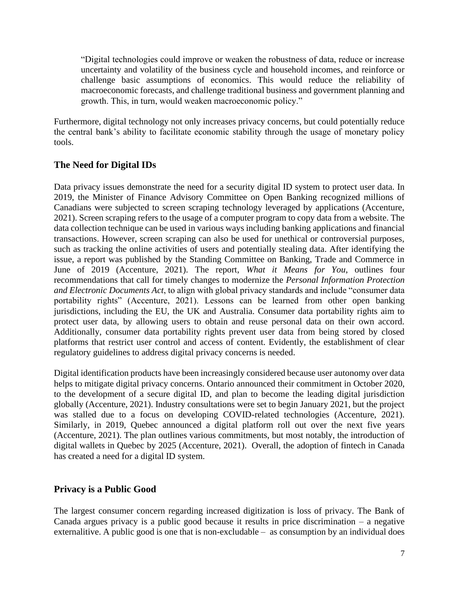"Digital technologies could improve or weaken the robustness of data, reduce or increase uncertainty and volatility of the business cycle and household incomes, and reinforce or challenge basic assumptions of economics. This would reduce the reliability of macroeconomic forecasts, and challenge traditional business and government planning and growth. This, in turn, would weaken macroeconomic policy."

Furthermore, digital technology not only increases privacy concerns, but could potentially reduce the central bank's ability to facilitate economic stability through the usage of monetary policy tools.

## <span id="page-6-0"></span>**The Need for Digital IDs**

Data privacy issues demonstrate the need for a security digital ID system to protect user data. In 2019, the Minister of Finance Advisory Committee on Open Banking recognized millions of Canadians were subjected to screen scraping technology leveraged by applications (Accenture, 2021). Screen scraping refers to the usage of a computer program to copy data from a website. The data collection technique can be used in various ways including banking applications and financial transactions. However, screen scraping can also be used for unethical or controversial purposes, such as tracking the online activities of users and potentially stealing data. After identifying the issue, a report was published by the Standing Committee on Banking, Trade and Commerce in June of 2019 (Accenture, 2021). The report, *What it Means for You*, outlines four recommendations that call for timely changes to modernize the *Personal Information Protection and Electronic Documents Act*, to align with global privacy standards and include "consumer data portability rights" (Accenture, 2021). Lessons can be learned from other open banking jurisdictions, including the EU, the UK and Australia. Consumer data portability rights aim to protect user data, by allowing users to obtain and reuse personal data on their own accord. Additionally, consumer data portability rights prevent user data from being stored by closed platforms that restrict user control and access of content. Evidently, the establishment of clear regulatory guidelines to address digital privacy concerns is needed.

Digital identification products have been increasingly considered because user autonomy over data helps to mitigate digital privacy concerns. Ontario announced their commitment in October 2020, to the development of a secure digital ID, and plan to become the leading digital jurisdiction globally (Accenture, 2021). Industry consultations were set to begin January 2021, but the project was stalled due to a focus on developing COVID-related technologies (Accenture, 2021). Similarly, in 2019, Quebec announced a digital platform roll out over the next five years (Accenture, 2021). The plan outlines various commitments, but most notably, the introduction of digital wallets in Quebec by 2025 (Accenture, 2021). Overall, the adoption of fintech in Canada has created a need for a digital ID system.

### <span id="page-6-1"></span>**Privacy is a Public Good**

The largest consumer concern regarding increased digitization is loss of privacy. The Bank of Canada argues privacy is a public good because it results in price discrimination – a negative externalitive. A public good is one that is non-excludable – as consumption by an individual does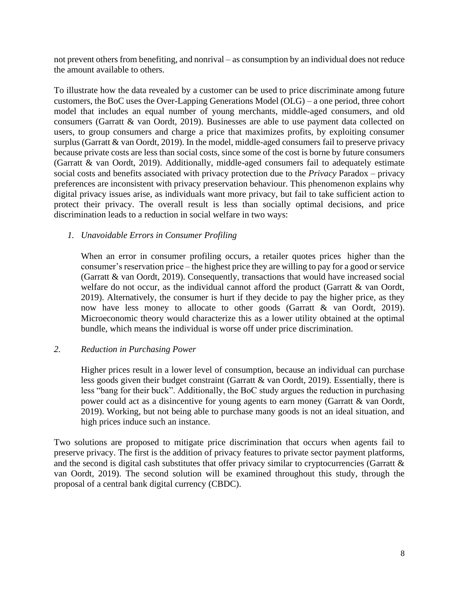not prevent others from benefiting, and nonrival – as consumption by an individual does not reduce the amount available to others.

To illustrate how the data revealed by a customer can be used to price discriminate among future customers, the BoC uses the Over-Lapping Generations Model (OLG) – a one period, three cohort model that includes an equal number of young merchants, middle-aged consumers, and old consumers (Garratt & van Oordt, 2019). Businesses are able to use payment data collected on users, to group consumers and charge a price that maximizes profits, by exploiting consumer surplus (Garratt & van Oordt, 2019). In the model, middle-aged consumers fail to preserve privacy because private costs are less than social costs, since some of the cost is borne by future consumers (Garratt & van Oordt, 2019). Additionally, middle-aged consumers fail to adequately estimate social costs and benefits associated with privacy protection due to the *Privacy* Paradox – privacy preferences are inconsistent with privacy preservation behaviour. This phenomenon explains why digital privacy issues arise, as individuals want more privacy, but fail to take sufficient action to protect their privacy. The overall result is less than socially optimal decisions, and price discrimination leads to a reduction in social welfare in two ways:

#### *1. Unavoidable Errors in Consumer Profiling*

When an error in consumer profiling occurs, a retailer quotes prices higher than the consumer's reservation price – the highest price they are willing to pay for a good or service (Garratt & van Oordt, 2019). Consequently, transactions that would have increased social welfare do not occur, as the individual cannot afford the product (Garratt & van Oordt, 2019). Alternatively, the consumer is hurt if they decide to pay the higher price, as they now have less money to allocate to other goods (Garratt & van Oordt, 2019). Microeconomic theory would characterize this as a lower utility obtained at the optimal bundle, which means the individual is worse off under price discrimination.

#### *2. Reduction in Purchasing Power*

Higher prices result in a lower level of consumption, because an individual can purchase less goods given their budget constraint (Garratt & van Oordt, 2019). Essentially, there is less "bang for their buck". Additionally, the BoC study argues the reduction in purchasing power could act as a disincentive for young agents to earn money (Garratt & van Oordt, 2019). Working, but not being able to purchase many goods is not an ideal situation, and high prices induce such an instance.

Two solutions are proposed to mitigate price discrimination that occurs when agents fail to preserve privacy. The first is the addition of privacy features to private sector payment platforms, and the second is digital cash substitutes that offer privacy similar to cryptocurrencies (Garratt & van Oordt, 2019). The second solution will be examined throughout this study, through the proposal of a central bank digital currency (CBDC).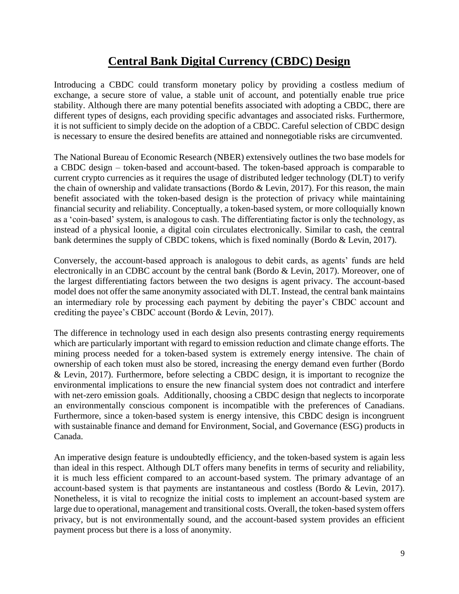# **Central Bank Digital Currency (CBDC) Design**

<span id="page-8-0"></span>Introducing a CBDC could transform monetary policy by providing a costless medium of exchange, a secure store of value, a stable unit of account, and potentially enable true price stability. Although there are many potential benefits associated with adopting a CBDC, there are different types of designs, each providing specific advantages and associated risks. Furthermore, it is not sufficient to simply decide on the adoption of a CBDC. Careful selection of CBDC design is necessary to ensure the desired benefits are attained and nonnegotiable risks are circumvented.

The National Bureau of Economic Research (NBER) extensively outlines the two base models for a CBDC design – token-based and account-based. The token-based approach is comparable to current crypto currencies as it requires the usage of distributed ledger technology (DLT) to verify the chain of ownership and validate transactions (Bordo & Levin, 2017). For this reason, the main benefit associated with the token-based design is the protection of privacy while maintaining financial security and reliability. Conceptually, a token-based system, or more colloquially known as a 'coin-based' system, is analogous to cash. The differentiating factor is only the technology, as instead of a physical loonie, a digital coin circulates electronically. Similar to cash, the central bank determines the supply of CBDC tokens, which is fixed nominally (Bordo & Levin, 2017).

Conversely, the account-based approach is analogous to debit cards, as agents' funds are held electronically in an CDBC account by the central bank (Bordo & Levin, 2017). Moreover, one of the largest differentiating factors between the two designs is agent privacy. The account-based model does not offer the same anonymity associated with DLT. Instead, the central bank maintains an intermediary role by processing each payment by debiting the payer's CBDC account and crediting the payee's CBDC account (Bordo & Levin, 2017).

The difference in technology used in each design also presents contrasting energy requirements which are particularly important with regard to emission reduction and climate change efforts. The mining process needed for a token-based system is extremely energy intensive. The chain of ownership of each token must also be stored, increasing the energy demand even further (Bordo & Levin, 2017). Furthermore, before selecting a CBDC design, it is important to recognize the environmental implications to ensure the new financial system does not contradict and interfere with net-zero emission goals. Additionally, choosing a CBDC design that neglects to incorporate an environmentally conscious component is incompatible with the preferences of Canadians. Furthermore, since a token-based system is energy intensive, this CBDC design is incongruent with sustainable finance and demand for Environment, Social, and Governance (ESG) products in Canada.

An imperative design feature is undoubtedly efficiency, and the token-based system is again less than ideal in this respect. Although DLT offers many benefits in terms of security and reliability, it is much less efficient compared to an account-based system. The primary advantage of an account-based system is that payments are instantaneous and costless (Bordo & Levin, 2017). Nonetheless, it is vital to recognize the initial costs to implement an account-based system are large due to operational, management and transitional costs. Overall, the token-based system offers privacy, but is not environmentally sound, and the account-based system provides an efficient payment process but there is a loss of anonymity.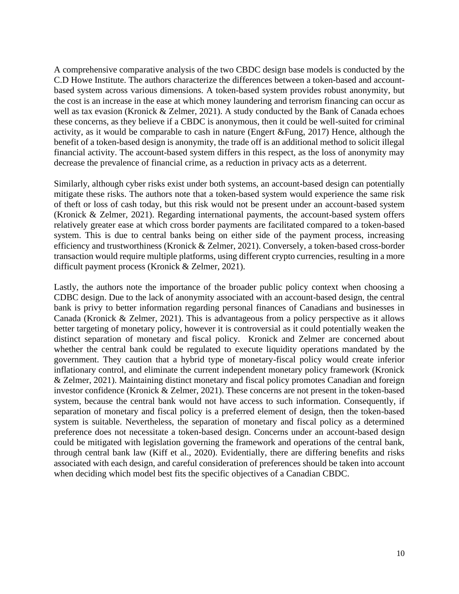A comprehensive comparative analysis of the two CBDC design base models is conducted by the C.D Howe Institute. The authors characterize the differences between a token-based and accountbased system across various dimensions. A token-based system provides robust anonymity, but the cost is an increase in the ease at which money laundering and terrorism financing can occur as well as tax evasion (Kronick & Zelmer, 2021). A study conducted by the Bank of Canada echoes these concerns, as they believe if a CBDC is anonymous, then it could be well-suited for criminal activity, as it would be comparable to cash in nature (Engert &Fung, 2017) Hence, although the benefit of a token-based design is anonymity, the trade off is an additional method to solicit illegal financial activity. The account-based system differs in this respect, as the loss of anonymity may decrease the prevalence of financial crime, as a reduction in privacy acts as a deterrent.

Similarly, although cyber risks exist under both systems, an account-based design can potentially mitigate these risks. The authors note that a token-based system would experience the same risk of theft or loss of cash today, but this risk would not be present under an account-based system (Kronick & Zelmer, 2021). Regarding international payments, the account-based system offers relatively greater ease at which cross border payments are facilitated compared to a token-based system. This is due to central banks being on either side of the payment process, increasing efficiency and trustworthiness (Kronick & Zelmer, 2021). Conversely, a token-based cross-border transaction would require multiple platforms, using different crypto currencies, resulting in a more difficult payment process (Kronick & Zelmer, 2021).

Lastly, the authors note the importance of the broader public policy context when choosing a CDBC design. Due to the lack of anonymity associated with an account-based design, the central bank is privy to better information regarding personal finances of Canadians and businesses in Canada (Kronick & Zelmer, 2021). This is advantageous from a policy perspective as it allows better targeting of monetary policy, however it is controversial as it could potentially weaken the distinct separation of monetary and fiscal policy. Kronick and Zelmer are concerned about whether the central bank could be regulated to execute liquidity operations mandated by the government. They caution that a hybrid type of monetary-fiscal policy would create inferior inflationary control, and eliminate the current independent monetary policy framework (Kronick & Zelmer, 2021). Maintaining distinct monetary and fiscal policy promotes Canadian and foreign investor confidence (Kronick & Zelmer, 2021). These concerns are not present in the token-based system, because the central bank would not have access to such information. Consequently, if separation of monetary and fiscal policy is a preferred element of design, then the token-based system is suitable. Nevertheless, the separation of monetary and fiscal policy as a determined preference does not necessitate a token-based design. Concerns under an account-based design could be mitigated with legislation governing the framework and operations of the central bank, through central bank law (Kiff et al., 2020). Evidentially, there are differing benefits and risks associated with each design, and careful consideration of preferences should be taken into account when deciding which model best fits the specific objectives of a Canadian CBDC.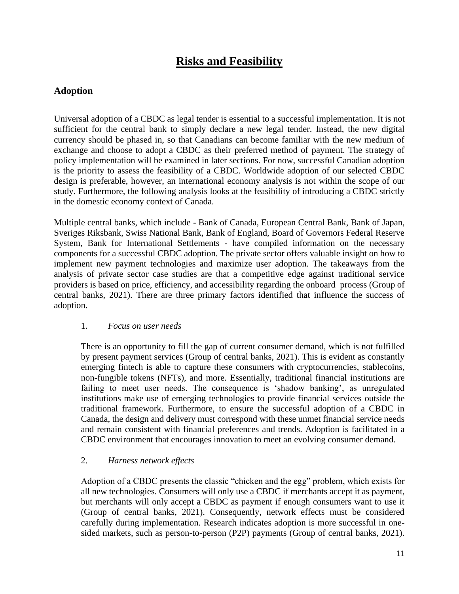# **Risks and Feasibility**

## <span id="page-10-1"></span><span id="page-10-0"></span>**Adoption**

Universal adoption of a CBDC as legal tender is essential to a successful implementation. It is not sufficient for the central bank to simply declare a new legal tender. Instead, the new digital currency should be phased in, so that Canadians can become familiar with the new medium of exchange and choose to adopt a CBDC as their preferred method of payment. The strategy of policy implementation will be examined in later sections. For now, successful Canadian adoption is the priority to assess the feasibility of a CBDC. Worldwide adoption of our selected CBDC design is preferable, however, an international economy analysis is not within the scope of our study. Furthermore, the following analysis looks at the feasibility of introducing a CBDC strictly in the domestic economy context of Canada.

Multiple central banks, which include - Bank of Canada, European Central Bank, Bank of Japan, Sveriges Riksbank, Swiss National Bank, Bank of England, Board of Governors Federal Reserve System, Bank for International Settlements - have compiled information on the necessary components for a successful CBDC adoption. The private sector offers valuable insight on how to implement new payment technologies and maximize user adoption. The takeaways from the analysis of private sector case studies are that a competitive edge against traditional service providers is based on price, efficiency, and accessibility regarding the onboard process (Group of central banks, 2021). There are three primary factors identified that influence the success of adoption.

#### 1. *Focus on user needs*

There is an opportunity to fill the gap of current consumer demand, which is not fulfilled by present payment services (Group of central banks, 2021). This is evident as constantly emerging fintech is able to capture these consumers with cryptocurrencies, stablecoins, non-fungible tokens (NFTs), and more. Essentially, traditional financial institutions are failing to meet user needs. The consequence is 'shadow banking', as unregulated institutions make use of emerging technologies to provide financial services outside the traditional framework. Furthermore, to ensure the successful adoption of a CBDC in Canada, the design and delivery must correspond with these unmet financial service needs and remain consistent with financial preferences and trends. Adoption is facilitated in a CBDC environment that encourages innovation to meet an evolving consumer demand.

#### 2. *Harness network effects*

Adoption of a CBDC presents the classic "chicken and the egg" problem, which exists for all new technologies. Consumers will only use a CBDC if merchants accept it as payment, but merchants will only accept a CBDC as payment if enough consumers want to use it (Group of central banks, 2021). Consequently, network effects must be considered carefully during implementation. Research indicates adoption is more successful in onesided markets, such as person-to-person (P2P) payments (Group of central banks, 2021).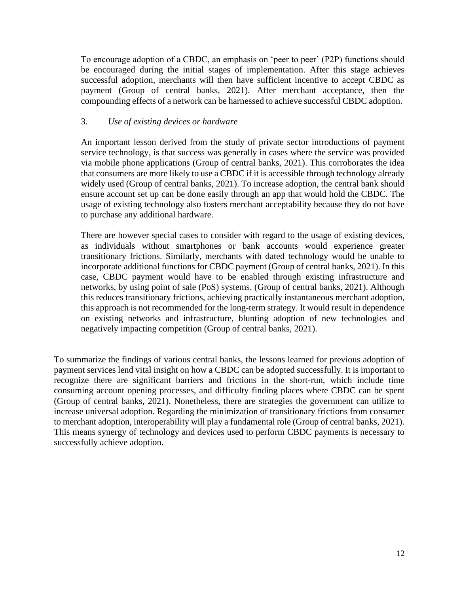To encourage adoption of a CBDC, an emphasis on 'peer to peer' (P2P) functions should be encouraged during the initial stages of implementation. After this stage achieves successful adoption, merchants will then have sufficient incentive to accept CBDC as payment (Group of central banks, 2021). After merchant acceptance, then the compounding effects of a network can be harnessed to achieve successful CBDC adoption.

#### 3. *Use of existing devices or hardware*

An important lesson derived from the study of private sector introductions of payment service technology, is that success was generally in cases where the service was provided via mobile phone applications (Group of central banks, 2021). This corroborates the idea that consumers are more likely to use a CBDC if it is accessible through technology already widely used (Group of central banks, 2021). To increase adoption, the central bank should ensure account set up can be done easily through an app that would hold the CBDC. The usage of existing technology also fosters merchant acceptability because they do not have to purchase any additional hardware.

There are however special cases to consider with regard to the usage of existing devices, as individuals without smartphones or bank accounts would experience greater transitionary frictions. Similarly, merchants with dated technology would be unable to incorporate additional functions for CBDC payment (Group of central banks, 2021). In this case, CBDC payment would have to be enabled through existing infrastructure and networks, by using point of sale (PoS) systems. (Group of central banks, 2021). Although this reduces transitionary frictions, achieving practically instantaneous merchant adoption, this approach is not recommended for the long-term strategy. It would result in dependence on existing networks and infrastructure, blunting adoption of new technologies and negatively impacting competition (Group of central banks, 2021).

To summarize the findings of various central banks, the lessons learned for previous adoption of payment services lend vital insight on how a CBDC can be adopted successfully. It is important to recognize there are significant barriers and frictions in the short-run, which include time consuming account opening processes, and difficulty finding places where CBDC can be spent (Group of central banks, 2021). Nonetheless, there are strategies the government can utilize to increase universal adoption. Regarding the minimization of transitionary frictions from consumer to merchant adoption, interoperability will play a fundamental role (Group of central banks, 2021). This means synergy of technology and devices used to perform CBDC payments is necessary to successfully achieve adoption.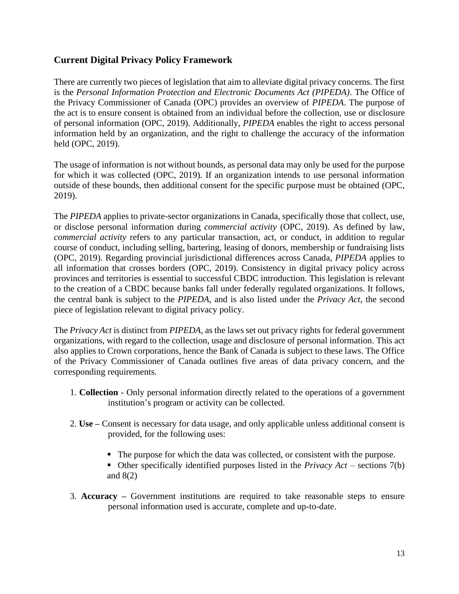### <span id="page-12-0"></span>**Current Digital Privacy Policy Framework**

There are currently two pieces of legislation that aim to alleviate digital privacy concerns. The first is the *Personal Information Protection and Electronic Documents Act (PIPEDA)*. The Office of the Privacy Commissioner of Canada (OPC) provides an overview of *PIPEDA*. The purpose of the act is to ensure consent is obtained from an individual before the collection, use or disclosure of personal information (OPC, 2019). Additionally, *PIPEDA* enables the right to access personal information held by an organization, and the right to challenge the accuracy of the information held (OPC, 2019).

The usage of information is not without bounds, as personal data may only be used for the purpose for which it was collected (OPC, 2019). If an organization intends to use personal information outside of these bounds, then additional consent for the specific purpose must be obtained (OPC, 2019).

The *PIPEDA* applies to private-sector organizations in Canada, specifically those that collect, use, or disclose personal information during *commercial activity* (OPC, 2019). As defined by law, *commercial activity* refers to any particular transaction, act, or conduct, in addition to regular course of conduct, including selling, bartering, leasing of donors, membership or fundraising lists (OPC, 2019). Regarding provincial jurisdictional differences across Canada, *PIPEDA* applies to all information that crosses borders (OPC, 2019). Consistency in digital privacy policy across provinces and territories is essential to successful CBDC introduction. This legislation is relevant to the creation of a CBDC because banks fall under federally regulated organizations. It follows, the central bank is subject to the *PIPEDA*, and is also listed under the *Privacy Act*, the second piece of legislation relevant to digital privacy policy.

The *Privacy Act* is distinct from *PIPEDA*, as the laws set out privacy rights for federal government organizations, with regard to the collection, usage and disclosure of personal information. This act also applies to Crown corporations, hence the Bank of Canada is subject to these laws. The Office of the Privacy Commissioner of Canada outlines five areas of data privacy concern, and the corresponding requirements.

- 1. **Collection** Only personal information directly related to the operations of a government institution's program or activity can be collected.
- 2. **Use –** Consent is necessary for data usage, and only applicable unless additional consent is provided, for the following uses:
	- The purpose for which the data was collected, or consistent with the purpose.
	- Other specifically identified purposes listed in the *Privacy Act* sections 7(b) and 8(2)
- 3. **Accuracy –** Government institutions are required to take reasonable steps to ensure personal information used is accurate, complete and up-to-date.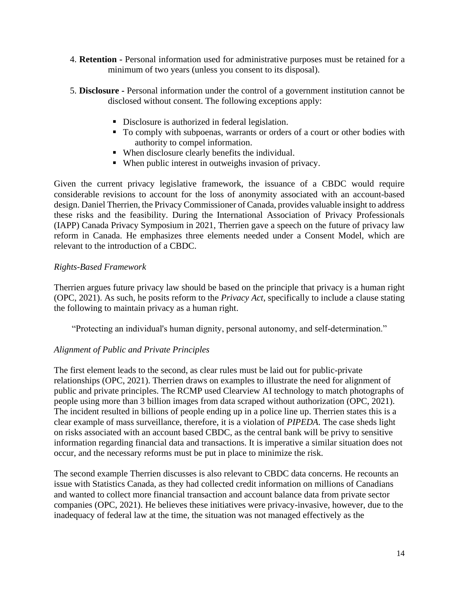- 4. **Retention -** Personal information used for administrative purposes must be retained for a minimum of two years (unless you consent to its disposal).
- 5. **Disclosure -** Personal information under the control of a government institution cannot be disclosed without consent. The following exceptions apply:
	- Disclosure is authorized in federal legislation.
	- To comply with subpoenas, warrants or orders of a court or other bodies with authority to compel information.
	- When disclosure clearly benefits the individual.
	- When public interest in outweighs invasion of privacy.

Given the current privacy legislative framework, the issuance of a CBDC would require considerable revisions to account for the loss of anonymity associated with an account-based design. Daniel Therrien, the Privacy Commissioner of Canada, provides valuable insight to address these risks and the feasibility. During the International Association of Privacy Professionals (IAPP) Canada Privacy Symposium in 2021, Therrien gave a speech on the future of privacy law reform in Canada. He emphasizes three elements needed under a Consent Model, which are relevant to the introduction of a CBDC.

#### *Rights-Based Framework*

Therrien argues future privacy law should be based on the principle that privacy is a human right (OPC, 2021). As such, he posits reform to the *Privacy Act*, specifically to include a clause stating the following to maintain privacy as a human right.

"Protecting an individual's human dignity, personal autonomy, and self-determination."

#### *Alignment of Public and Private Principles*

The first element leads to the second, as clear rules must be laid out for public-private relationships (OPC, 2021). Therrien draws on examples to illustrate the need for alignment of public and private principles. The RCMP used Clearview AI technology to match photographs of people using more than 3 billion images from data scraped without authorization (OPC, 2021). The incident resulted in billions of people ending up in a police line up. Therrien states this is a clear example of mass surveillance, therefore, it is a violation of *PIPEDA*. The case sheds light on risks associated with an account based CBDC, as the central bank will be privy to sensitive information regarding financial data and transactions. It is imperative a similar situation does not occur, and the necessary reforms must be put in place to minimize the risk.

The second example Therrien discusses is also relevant to CBDC data concerns. He recounts an issue with Statistics Canada, as they had collected credit information on millions of Canadians and wanted to collect more financial transaction and account balance data from private sector companies (OPC, 2021). He believes these initiatives were privacy-invasive, however, due to the inadequacy of federal law at the time, the situation was not managed effectively as the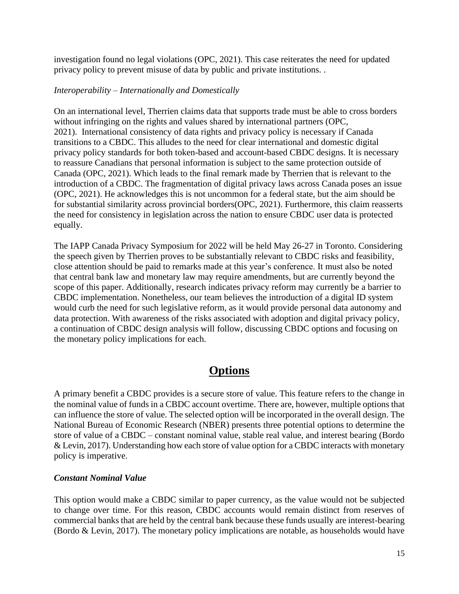investigation found no legal violations (OPC, 2021). This case reiterates the need for updated privacy policy to prevent misuse of data by public and private institutions. .

#### *Interoperability – Internationally and Domestically*

On an international level, Therrien claims data that supports trade must be able to cross borders without infringing on the rights and values shared by international partners (OPC, 2021). International consistency of data rights and privacy policy is necessary if Canada transitions to a CBDC. This alludes to the need for clear international and domestic digital privacy policy standards for both token-based and account-based CBDC designs. It is necessary to reassure Canadians that personal information is subject to the same protection outside of Canada (OPC, 2021). Which leads to the final remark made by Therrien that is relevant to the introduction of a CBDC. The fragmentation of digital privacy laws across Canada poses an issue (OPC, 2021). He acknowledges this is not uncommon for a federal state, but the aim should be for substantial similarity across provincial borders(OPC, 2021). Furthermore, this claim reasserts the need for consistency in legislation across the nation to ensure CBDC user data is protected equally.

The IAPP Canada Privacy Symposium for 2022 will be held May 26-27 in Toronto. Considering the speech given by Therrien proves to be substantially relevant to CBDC risks and feasibility, close attention should be paid to remarks made at this year's conference. It must also be noted that central bank law and monetary law may require amendments, but are currently beyond the scope of this paper. Additionally, research indicates privacy reform may currently be a barrier to CBDC implementation. Nonetheless, our team believes the introduction of a digital ID system would curb the need for such legislative reform, as it would provide personal data autonomy and data protection. With awareness of the risks associated with adoption and digital privacy policy, a continuation of CBDC design analysis will follow, discussing CBDC options and focusing on the monetary policy implications for each.

# **Options**

<span id="page-14-0"></span>A primary benefit a CBDC provides is a secure store of value. This feature refers to the change in the nominal value of funds in a CBDC account overtime. There are, however, multiple options that can influence the store of value. The selected option will be incorporated in the overall design. The National Bureau of Economic Research (NBER) presents three potential options to determine the store of value of a CBDC – constant nominal value, stable real value, and interest bearing (Bordo & Levin, 2017). Understanding how each store of value option for a CBDC interacts with monetary policy is imperative.

#### <span id="page-14-1"></span>*Constant Nominal Value*

This option would make a CBDC similar to paper currency, as the value would not be subjected to change over time. For this reason, CBDC accounts would remain distinct from reserves of commercial banks that are held by the central bank because these funds usually are interest-bearing (Bordo & Levin, 2017). The monetary policy implications are notable, as households would have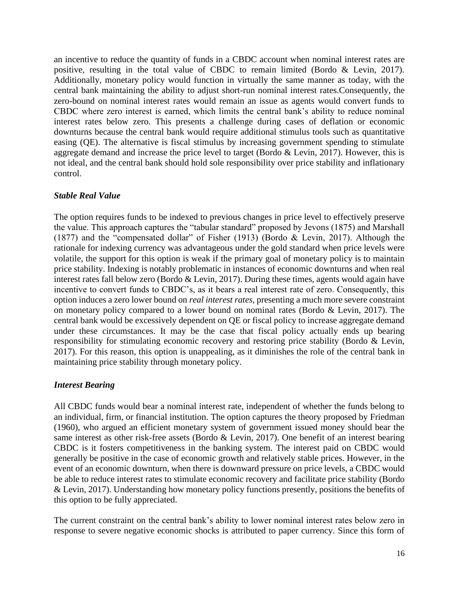an incentive to reduce the quantity of funds in a CBDC account when nominal interest rates are positive, resulting in the total value of CBDC to remain limited (Bordo & Levin, 2017). Additionally, monetary policy would function in virtually the same manner as today, with the central bank maintaining the ability to adjust short-run nominal interest rates.Consequently, the zero-bound on nominal interest rates would remain an issue as agents would convert funds to CBDC where zero interest is earned, which limits the central bank's ability to reduce nominal interest rates below zero. This presents a challenge during cases of deflation or economic downturns because the central bank would require additional stimulus tools such as quantitative easing (QE). The alternative is fiscal stimulus by increasing government spending to stimulate aggregate demand and increase the price level to target (Bordo & Levin, 2017). However, this is not ideal, and the central bank should hold sole responsibility over price stability and inflationary control.

#### <span id="page-15-0"></span>*Stable Real Value*

The option requires funds to be indexed to previous changes in price level to effectively preserve the value. This approach captures the "tabular standard" proposed by Jevons (1875) and Marshall (1877) and the "compensated dollar" of Fisher (1913) (Bordo & Levin, 2017). Although the rationale for indexing currency was advantageous under the gold standard when price levels were volatile, the support for this option is weak if the primary goal of monetary policy is to maintain price stability. Indexing is notably problematic in instances of economic downturns and when real interest rates fall below zero (Bordo & Levin, 2017). During these times, agents would again have incentive to convert funds to CBDC's, as it bears a real interest rate of zero. Consequently, this option induces a zero lower bound on *real interest rates,* presenting a much more severe constraint on monetary policy compared to a lower bound on nominal rates (Bordo & Levin, 2017). The central bank would be excessively dependent on QE or fiscal policy to increase aggregate demand under these circumstances. It may be the case that fiscal policy actually ends up bearing responsibility for stimulating economic recovery and restoring price stability (Bordo & Levin, 2017). For this reason, this option is unappealing, as it diminishes the role of the central bank in maintaining price stability through monetary policy.

#### <span id="page-15-1"></span>*Interest Bearing*

All CBDC funds would bear a nominal interest rate, independent of whether the funds belong to an individual, firm, or financial institution. The option captures the theory proposed by Friedman (1960), who argued an efficient monetary system of government issued money should bear the same interest as other risk-free assets (Bordo & Levin, 2017). One benefit of an interest bearing CBDC is it fosters competitiveness in the banking system. The interest paid on CBDC would generally be positive in the case of economic growth and relatively stable prices. However, in the event of an economic downturn, when there is downward pressure on price levels, a CBDC would be able to reduce interest rates to stimulate economic recovery and facilitate price stability (Bordo & Levin, 2017). Understanding how monetary policy functions presently, positions the benefits of this option to be fully appreciated.

The current constraint on the central bank's ability to lower nominal interest rates below zero in response to severe negative economic shocks is attributed to paper currency. Since this form of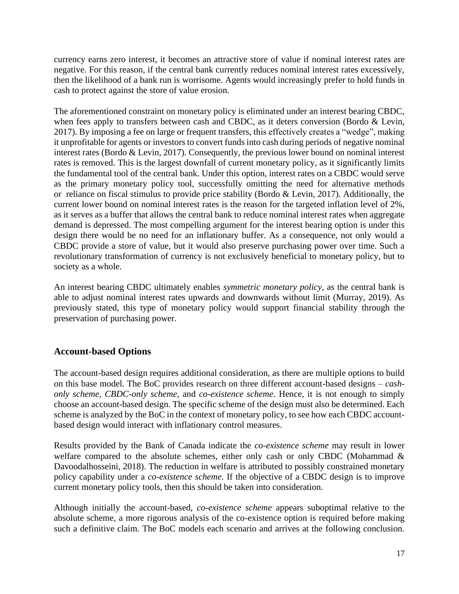currency earns zero interest, it becomes an attractive store of value if nominal interest rates are negative. For this reason, if the central bank currently reduces nominal interest rates excessively, then the likelihood of a bank run is worrisome. Agents would increasingly prefer to hold funds in cash to protect against the store of value erosion.

The aforementioned constraint on monetary policy is eliminated under an interest bearing CBDC, when fees apply to transfers between cash and CBDC, as it deters conversion (Bordo & Levin, 2017). By imposing a fee on large or frequent transfers, this effectively creates a "wedge", making it unprofitable for agents or investors to convert funds into cash during periods of negative nominal interest rates (Bordo & Levin, 2017). Consequently, the previous lower bound on nominal interest rates is removed. This is the largest downfall of current monetary policy, as it significantly limits the fundamental tool of the central bank. Under this option, interest rates on a CBDC would serve as the primary monetary policy tool, successfully omitting the need for alternative methods or reliance on fiscal stimulus to provide price stability (Bordo & Levin, 2017). Additionally, the current lower bound on nominal interest rates is the reason for the targeted inflation level of 2%, as it serves as a buffer that allows the central bank to reduce nominal interest rates when aggregate demand is depressed. The most compelling argument for the interest bearing option is under this design there would be no need for an inflationary buffer. As a consequence, not only would a CBDC provide a store of value, but it would also preserve purchasing power over time. Such a revolutionary transformation of currency is not exclusively beneficial to monetary policy, but to society as a whole.

An interest bearing CBDC ultimately enables *symmetric monetary policy*, as the central bank is able to adjust nominal interest rates upwards and downwards without limit (Murray, 2019). As previously stated, this type of monetary policy would support financial stability through the preservation of purchasing power.

### <span id="page-16-0"></span>**Account-based Options**

The account-based design requires additional consideration, as there are multiple options to build on this base model. The BoC provides research on three different account-based designs – *cashonly scheme, CBDC-only scheme*, and *co-existence scheme*. Hence, it is not enough to simply choose an account-based design. The specific scheme of the design must also be determined. Each scheme is analyzed by the BoC in the context of monetary policy, to see how each CBDC accountbased design would interact with inflationary control measures.

Results provided by the Bank of Canada indicate the *co-existence scheme* may result in lower welfare compared to the absolute schemes, either only cash or only CBDC (Mohammad & Davoodalhosseini, 2018). The reduction in welfare is attributed to possibly constrained monetary policy capability under a *co-existence scheme*. If the objective of a CBDC design is to improve current monetary policy tools, then this should be taken into consideration.

Although initially the account-based, *co-existence scheme* appears suboptimal relative to the absolute scheme, a more rigorous analysis of the co-existence option is required before making such a definitive claim. The BoC models each scenario and arrives at the following conclusion.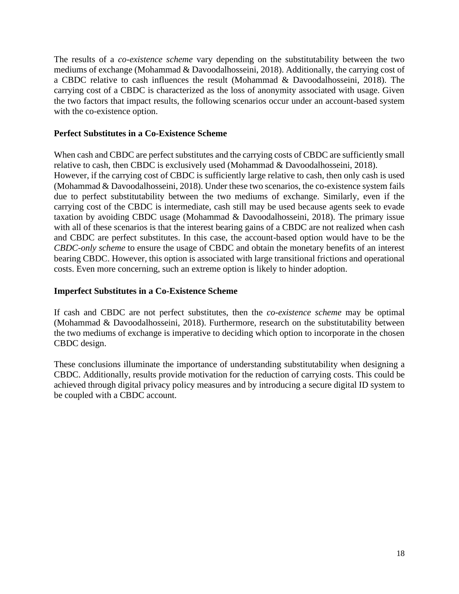The results of a *co-existence scheme* vary depending on the substitutability between the two mediums of exchange (Mohammad & Davoodalhosseini, 2018). Additionally, the carrying cost of a CBDC relative to cash influences the result (Mohammad & Davoodalhosseini, 2018). The carrying cost of a CBDC is characterized as the loss of anonymity associated with usage. Given the two factors that impact results, the following scenarios occur under an account-based system with the co-existence option.

#### **Perfect Substitutes in a Co-Existence Scheme**

When cash and CBDC are perfect substitutes and the carrying costs of CBDC are sufficiently small relative to cash, then CBDC is exclusively used (Mohammad & Davoodalhosseini, 2018). However, if the carrying cost of CBDC is sufficiently large relative to cash, then only cash is used (Mohammad & Davoodalhosseini, 2018). Under these two scenarios, the co-existence system fails due to perfect substitutability between the two mediums of exchange. Similarly, even if the carrying cost of the CBDC is intermediate, cash still may be used because agents seek to evade taxation by avoiding CBDC usage (Mohammad & Davoodalhosseini, 2018). The primary issue with all of these scenarios is that the interest bearing gains of a CBDC are not realized when cash and CBDC are perfect substitutes. In this case, the account-based option would have to be the *CBDC-only scheme* to ensure the usage of CBDC and obtain the monetary benefits of an interest bearing CBDC. However, this option is associated with large transitional frictions and operational costs. Even more concerning, such an extreme option is likely to hinder adoption.

#### **Imperfect Substitutes in a Co-Existence Scheme**

<span id="page-17-0"></span>If cash and CBDC are not perfect substitutes, then the *co-existence scheme* may be optimal (Mohammad & Davoodalhosseini, 2018). Furthermore, research on the substitutability between the two mediums of exchange is imperative to deciding which option to incorporate in the chosen CBDC design.

These conclusions illuminate the importance of understanding substitutability when designing a CBDC. Additionally, results provide motivation for the reduction of carrying costs. This could be achieved through digital privacy policy measures and by introducing a secure digital ID system to be coupled with a CBDC account.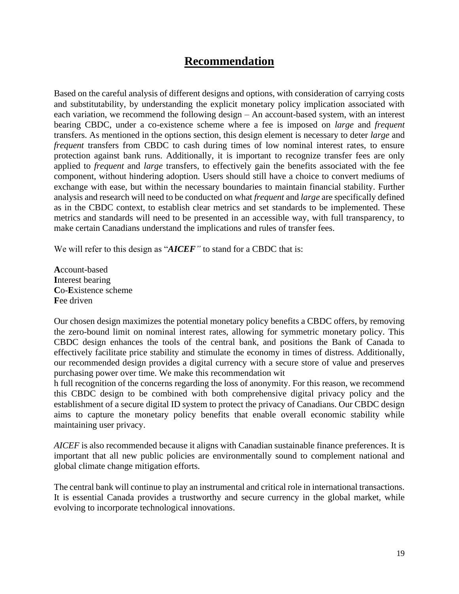# **Recommendation**

<span id="page-18-0"></span>Based on the careful analysis of different designs and options, with consideration of carrying costs and substitutability, by understanding the explicit monetary policy implication associated with each variation, we recommend the following design – An account-based system, with an interest bearing CBDC, under a co-existence scheme where a fee is imposed on *large* and *frequent* transfers. As mentioned in the options section, this design element is necessary to deter *large* and *frequent* transfers from CBDC to cash during times of low nominal interest rates, to ensure protection against bank runs. Additionally, it is important to recognize transfer fees are only applied to *frequent* and *large* transfers, to effectively gain the benefits associated with the fee component, without hindering adoption. Users should still have a choice to convert mediums of exchange with ease, but within the necessary boundaries to maintain financial stability. Further analysis and research will need to be conducted on what *frequent* and *large* are specifically defined as in the CBDC context, to establish clear metrics and set standards to be implemented. These metrics and standards will need to be presented in an accessible way, with full transparency, to make certain Canadians understand the implications and rules of transfer fees.

We will refer to this design as "*AICEF*" to stand for a CBDC that is:

**A**ccount-based **I**nterest bearing **C**o-**E**xistence scheme **Fee** driven

Our chosen design maximizes the potential monetary policy benefits a CBDC offers, by removing the zero-bound limit on nominal interest rates, allowing for symmetric monetary policy. This CBDC design enhances the tools of the central bank, and positions the Bank of Canada to effectively facilitate price stability and stimulate the economy in times of distress. Additionally, our recommended design provides a digital currency with a secure store of value and preserves purchasing power over time. We make this recommendation wit

h full recognition of the concerns regarding the loss of anonymity. For this reason, we recommend this CBDC design to be combined with both comprehensive digital privacy policy and the establishment of a secure digital ID system to protect the privacy of Canadians. Our CBDC design aims to capture the monetary policy benefits that enable overall economic stability while maintaining user privacy.

*AICEF* is also recommended because it aligns with Canadian sustainable finance preferences. It is important that all new public policies are environmentally sound to complement national and global climate change mitigation efforts.

The central bank will continue to play an instrumental and critical role in international transactions. It is essential Canada provides a trustworthy and secure currency in the global market, while evolving to incorporate technological innovations.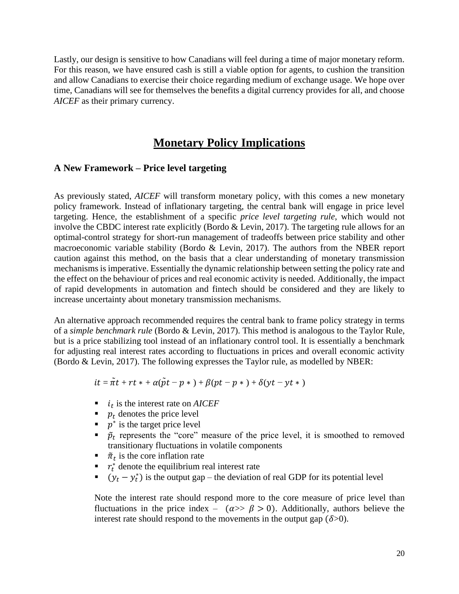Lastly, our design is sensitive to how Canadians will feel during a time of major monetary reform. For this reason, we have ensured cash is still a viable option for agents, to cushion the transition and allow Canadians to exercise their choice regarding medium of exchange usage. We hope over time, Canadians will see for themselves the benefits a digital currency provides for all, and choose *AICEF* as their primary currency.

## **Monetary Policy Implications**

#### <span id="page-19-0"></span>**A New Framework – Price level targeting**

As previously stated, *AICEF* will transform monetary policy, with this comes a new monetary policy framework. Instead of inflationary targeting, the central bank will engage in price level targeting. Hence, the establishment of a specific *price level targeting rule*, which would not involve the CBDC interest rate explicitly (Bordo & Levin, 2017). The targeting rule allows for an optimal-control strategy for short-run management of tradeoffs between price stability and other macroeconomic variable stability (Bordo & Levin, 2017). The authors from the NBER report caution against this method, on the basis that a clear understanding of monetary transmission mechanisms is imperative. Essentially the dynamic relationship between setting the policy rate and the effect on the behaviour of prices and real economic activity is needed. Additionally, the impact of rapid developments in automation and fintech should be considered and they are likely to increase uncertainty about monetary transmission mechanisms.

An alternative approach recommended requires the central bank to frame policy strategy in terms of a *simple benchmark rule* (Bordo & Levin, 2017). This method is analogous to the Taylor Rule, but is a price stabilizing tool instead of an inflationary control tool. It is essentially a benchmark for adjusting real interest rates according to fluctuations in prices and overall economic activity (Bordo & Levin, 2017). The following expresses the Taylor rule, as modelled by NBER:

$$
it = \tilde{\pi}t + rt * + \alpha(\tilde{p}t - p*) + \beta(pt - p*) + \delta(yt - yt*)
$$

- $\bullet$  *i<sub>t</sub>* is the interest rate on *AICEF*
- $\bullet$   $p_t$  denotes the price level
- $p^*$  is the target price level
- $\tilde{p}_t$  represents the "core" measure of the price level, it is smoothed to removed transitionary fluctuations in volatile components
- $\tilde{\pi}_t$  is the core inflation rate
- $\bullet$   $r_t^*$  denote the equilibrium real interest rate
- $(y_t y_t^*)$  is the output gap the deviation of real GDP for its potential level

Note the interest rate should respond more to the core measure of price level than fluctuations in the price index –  $(\alpha > \beta > 0)$ . Additionally, authors believe the interest rate should respond to the movements in the output gap  $(\delta > 0)$ .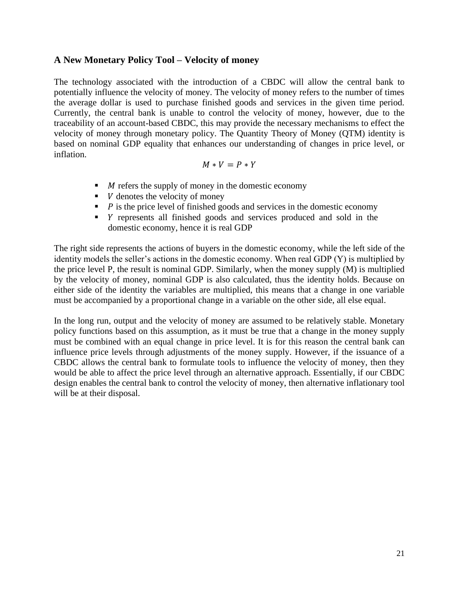#### <span id="page-20-0"></span>**A New Monetary Policy Tool – Velocity of money**

The technology associated with the introduction of a CBDC will allow the central bank to potentially influence the velocity of money. The velocity of money refers to the number of times the average dollar is used to purchase finished goods and services in the given time period. Currently, the central bank is unable to control the velocity of money, however, due to the traceability of an account-based CBDC, this may provide the necessary mechanisms to effect the velocity of money through monetary policy. The Quantity Theory of Money (QTM) identity is based on nominal GDP equality that enhances our understanding of changes in price level, or inflation.

$$
M * V = P * Y
$$

- $\blacksquare$  *M* refers the supply of money in the domestic economy
- $\bullet$  *V* denotes the velocity of money
- $\blacksquare$   $\blacksquare$  is the price level of finished goods and services in the domestic economy
- represents all finished goods and services produced and sold in the domestic economy, hence it is real GDP

The right side represents the actions of buyers in the domestic economy, while the left side of the identity models the seller's actions in the domestic economy. When real GDP (Y) is multiplied by the price level P, the result is nominal GDP. Similarly, when the money supply (M) is multiplied by the velocity of money, nominal GDP is also calculated, thus the identity holds. Because on either side of the identity the variables are multiplied, this means that a change in one variable must be accompanied by a proportional change in a variable on the other side, all else equal.

In the long run, output and the velocity of money are assumed to be relatively stable. Monetary policy functions based on this assumption, as it must be true that a change in the money supply must be combined with an equal change in price level. It is for this reason the central bank can influence price levels through adjustments of the money supply. However, if the issuance of a CBDC allows the central bank to formulate tools to influence the velocity of money, then they would be able to affect the price level through an alternative approach. Essentially, if our CBDC design enables the central bank to control the velocity of money, then alternative inflationary tool will be at their disposal.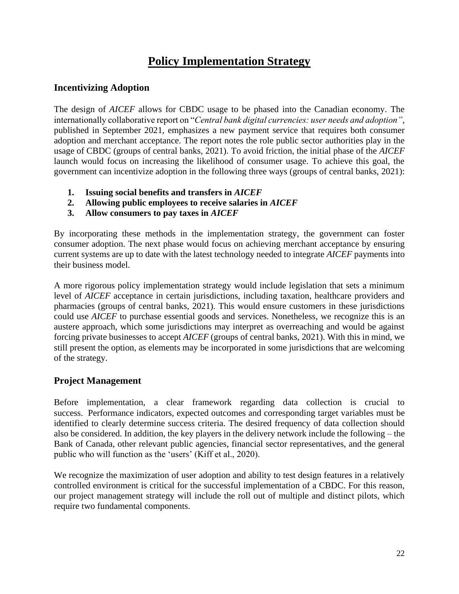# **Policy Implementation Strategy**

### <span id="page-21-1"></span><span id="page-21-0"></span>**Incentivizing Adoption**

The design of *AICEF* allows for CBDC usage to be phased into the Canadian economy. The internationally collaborative report on "*Central bank digital currencies: user needs and adoption"*, published in September 2021, emphasizes a new payment service that requires both consumer adoption and merchant acceptance. The report notes the role public sector authorities play in the usage of CBDC (groups of central banks, 2021). To avoid friction, the initial phase of the *AICEF* launch would focus on increasing the likelihood of consumer usage. To achieve this goal, the government can incentivize adoption in the following three ways (groups of central banks, 2021):

- **1. Issuing social benefits and transfers in** *AICEF*
- **2. Allowing public employees to receive salaries in** *AICEF*
- **3. Allow consumers to pay taxes in** *AICEF*

By incorporating these methods in the implementation strategy, the government can foster consumer adoption. The next phase would focus on achieving merchant acceptance by ensuring current systems are up to date with the latest technology needed to integrate *AICEF* payments into their business model.

A more rigorous policy implementation strategy would include legislation that sets a minimum level of *AICEF* acceptance in certain jurisdictions, including taxation, healthcare providers and pharmacies (groups of central banks, 2021). This would ensure customers in these jurisdictions could use *AICEF* to purchase essential goods and services. Nonetheless, we recognize this is an austere approach, which some jurisdictions may interpret as overreaching and would be against forcing private businesses to accept *AICEF* (groups of central banks, 2021). With this in mind, we still present the option, as elements may be incorporated in some jurisdictions that are welcoming of the strategy.

### <span id="page-21-2"></span>**Project Management**

Before implementation, a clear framework regarding data collection is crucial to success. Performance indicators, expected outcomes and corresponding target variables must be identified to clearly determine success criteria. The desired frequency of data collection should also be considered. In addition, the key players in the delivery network include the following – the Bank of Canada, other relevant public agencies, financial sector representatives, and the general public who will function as the 'users' (Kiff et al., 2020).

We recognize the maximization of user adoption and ability to test design features in a relatively controlled environment is critical for the successful implementation of a CBDC. For this reason, our project management strategy will include the roll out of multiple and distinct pilots, which require two fundamental components.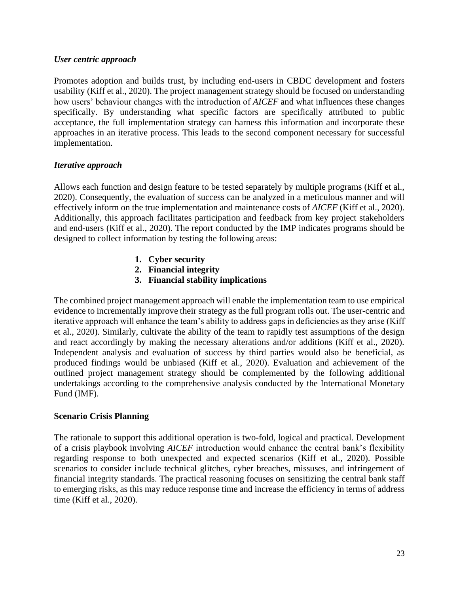#### <span id="page-22-0"></span>*User centric approach*

Promotes adoption and builds trust, by including end-users in CBDC development and fosters usability (Kiff et al., 2020). The project management strategy should be focused on understanding how users' behaviour changes with the introduction of *AICEF* and what influences these changes specifically. By understanding what specific factors are specifically attributed to public acceptance, the full implementation strategy can harness this information and incorporate these approaches in an iterative process. This leads to the second component necessary for successful implementation.

#### <span id="page-22-1"></span>*Iterative approach*

Allows each function and design feature to be tested separately by multiple programs (Kiff et al., 2020). Consequently, the evaluation of success can be analyzed in a meticulous manner and will effectively inform on the true implementation and maintenance costs of *AICEF* (Kiff et al., 2020). Additionally, this approach facilitates participation and feedback from key project stakeholders and end-users (Kiff et al., 2020). The report conducted by the IMP indicates programs should be designed to collect information by testing the following areas:

- **1. Cyber security**
- **2. Financial integrity**
- **3. Financial stability implications**

The combined project management approach will enable the implementation team to use empirical evidence to incrementally improve their strategy as the full program rolls out. The user-centric and iterative approach will enhance the team's ability to address gaps in deficiencies as they arise (Kiff et al., 2020). Similarly, cultivate the ability of the team to rapidly test assumptions of the design and react accordingly by making the necessary alterations and/or additions (Kiff et al., 2020). Independent analysis and evaluation of success by third parties would also be beneficial, as produced findings would be unbiased (Kiff et al., 2020). Evaluation and achievement of the outlined project management strategy should be complemented by the following additional undertakings according to the comprehensive analysis conducted by the International Monetary Fund (IMF).

#### **Scenario Crisis Planning**

The rationale to support this additional operation is two-fold, logical and practical. Development of a crisis playbook involving *AICEF* introduction would enhance the central bank's flexibility regarding response to both unexpected and expected scenarios (Kiff et al., 2020). Possible scenarios to consider include technical glitches, cyber breaches, missuses, and infringement of financial integrity standards. The practical reasoning focuses on sensitizing the central bank staff to emerging risks, as this may reduce response time and increase the efficiency in terms of address time (Kiff et al., 2020).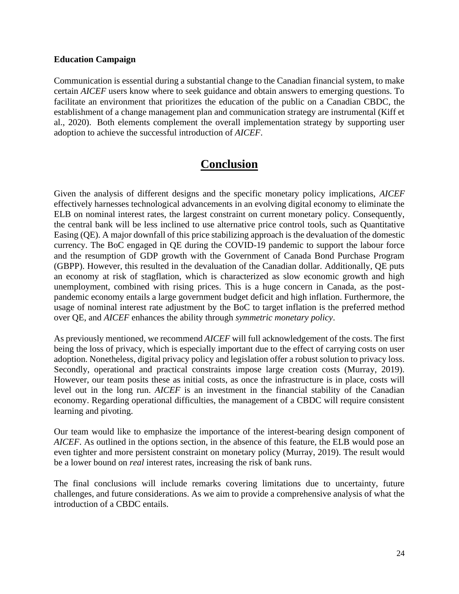#### **Education Campaign**

Communication is essential during a substantial change to the Canadian financial system, to make certain *AICEF* users know where to seek guidance and obtain answers to emerging questions. To facilitate an environment that prioritizes the education of the public on a Canadian CBDC, the establishment of a change management plan and communication strategy are instrumental (Kiff et al., 2020). Both elements complement the overall implementation strategy by supporting user adoption to achieve the successful introduction of *AICEF*.

# **Conclusion**

<span id="page-23-0"></span>Given the analysis of different designs and the specific monetary policy implications, *AICEF* effectively harnesses technological advancements in an evolving digital economy to eliminate the ELB on nominal interest rates, the largest constraint on current monetary policy. Consequently, the central bank will be less inclined to use alternative price control tools, such as Quantitative Easing (QE). A major downfall of this price stabilizing approach is the devaluation of the domestic currency. The BoC engaged in QE during the COVID-19 pandemic to support the labour force and the resumption of GDP growth with the Government of Canada Bond Purchase Program (GBPP). However, this resulted in the devaluation of the Canadian dollar. Additionally, QE puts an economy at risk of stagflation, which is characterized as slow economic growth and high unemployment, combined with rising prices. This is a huge concern in Canada, as the postpandemic economy entails a large government budget deficit and high inflation. Furthermore, the usage of nominal interest rate adjustment by the BoC to target inflation is the preferred method over QE, and *AICEF* enhances the ability through *symmetric monetary policy*.

As previously mentioned, we recommend *AICEF* will full acknowledgement of the costs. The first being the loss of privacy, which is especially important due to the effect of carrying costs on user adoption. Nonetheless, digital privacy policy and legislation offer a robust solution to privacy loss. Secondly, operational and practical constraints impose large creation costs (Murray, 2019). However, our team posits these as initial costs, as once the infrastructure is in place, costs will level out in the long run. *AICEF* is an investment in the financial stability of the Canadian economy. Regarding operational difficulties, the management of a CBDC will require consistent learning and pivoting.

Our team would like to emphasize the importance of the interest-bearing design component of *AICEF*. As outlined in the options section, in the absence of this feature, the ELB would pose an even tighter and more persistent constraint on monetary policy (Murray, 2019). The result would be a lower bound on *real* interest rates, increasing the risk of bank runs.

The final conclusions will include remarks covering limitations due to uncertainty, future challenges, and future considerations. As we aim to provide a comprehensive analysis of what the introduction of a CBDC entails.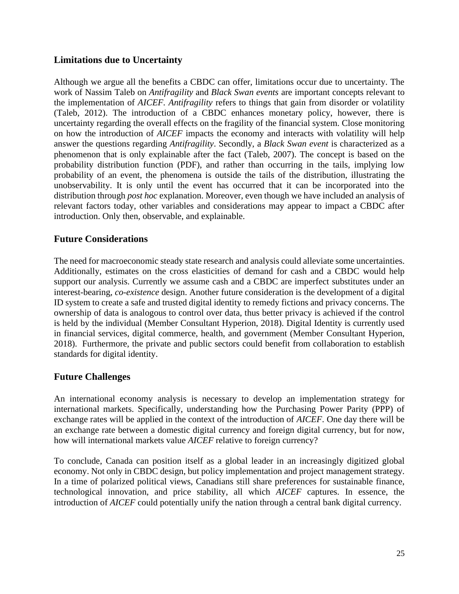### <span id="page-24-0"></span>**Limitations due to Uncertainty**

Although we argue all the benefits a CBDC can offer, limitations occur due to uncertainty. The work of Nassim Taleb on *Antifragility* and *Black Swan events* are important concepts relevant to the implementation of *AICEF. Antifragility* refers to things that gain from disorder or volatility (Taleb, 2012). The introduction of a CBDC enhances monetary policy, however, there is uncertainty regarding the overall effects on the fragility of the financial system. Close monitoring on how the introduction of *AICEF* impacts the economy and interacts with volatility will help answer the questions regarding *Antifragility*. Secondly, a *Black Swan event* is characterized as a phenomenon that is only explainable after the fact (Taleb, 2007). The concept is based on the probability distribution function (PDF), and rather than occurring in the tails, implying low probability of an event, the phenomena is outside the tails of the distribution, illustrating the unobservability. It is only until the event has occurred that it can be incorporated into the distribution through *post hoc* explanation. Moreover, even though we have included an analysis of relevant factors today, other variables and considerations may appear to impact a CBDC after introduction. Only then, observable, and explainable.

### <span id="page-24-1"></span>**Future Considerations**

The need for macroeconomic steady state research and analysis could alleviate some uncertainties. Additionally, estimates on the cross elasticities of demand for cash and a CBDC would help support our analysis. Currently we assume cash and a CBDC are imperfect substitutes under an interest-bearing, *co-existence* design. Another future consideration is the development of a digital ID system to create a safe and trusted digital identity to remedy fictions and privacy concerns. The ownership of data is analogous to control over data, thus better privacy is achieved if the control is held by the individual (Member Consultant Hyperion, 2018). Digital Identity is currently used in financial services, digital commerce, health, and government (Member Consultant Hyperion, 2018). Furthermore, the private and public sectors could benefit from collaboration to establish standards for digital identity.

### <span id="page-24-2"></span>**Future Challenges**

An international economy analysis is necessary to develop an implementation strategy for international markets. Specifically, understanding how the Purchasing Power Parity (PPP) of exchange rates will be applied in the context of the introduction of *AICEF*. One day there will be an exchange rate between a domestic digital currency and foreign digital currency, but for now, how will international markets value *AICEF* relative to foreign currency?

To conclude, Canada can position itself as a global leader in an increasingly digitized global economy. Not only in CBDC design, but policy implementation and project management strategy. In a time of polarized political views, Canadians still share preferences for sustainable finance, technological innovation, and price stability, all which *AICEF* captures. In essence, the introduction of *AICEF* could potentially unify the nation through a central bank digital currency.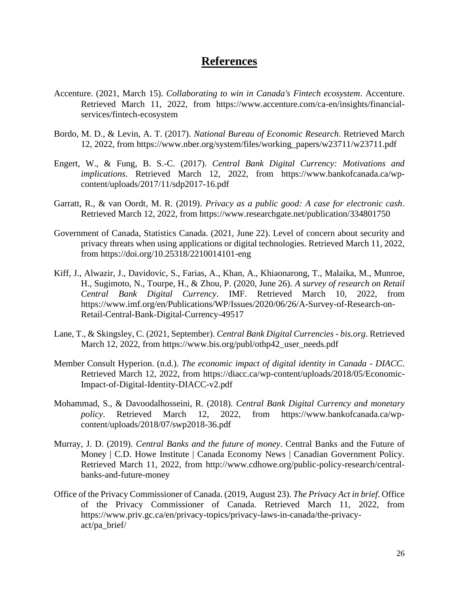## **References**

- <span id="page-25-0"></span>Accenture. (2021, March 15). *Collaborating to win in Canada's Fintech ecosystem*. Accenture. Retrieved March 11, 2022, from https://www.accenture.com/ca-en/insights/financialservices/fintech-ecosystem
- Bordo, M. D., & Levin, A. T. (2017). *National Bureau of Economic Research*. Retrieved March 12, 2022, from https://www.nber.org/system/files/working\_papers/w23711/w23711.pdf
- Engert, W., & Fung, B. S.-C. (2017). *Central Bank Digital Currency: Motivations and implications*. Retrieved March 12, 2022, from https://www.bankofcanada.ca/wpcontent/uploads/2017/11/sdp2017-16.pdf
- Garratt, R., & van Oordt, M. R. (2019). *Privacy as a public good: A case for electronic cash*. Retrieved March 12, 2022, from https://www.researchgate.net/publication/334801750
- Government of Canada, Statistics Canada. (2021, June 22). Level of concern about security and privacy threats when using applications or digital technologies. Retrieved March 11, 2022, from https://doi.org/10.25318/2210014101-eng
- Kiff, J., Alwazir, J., Davidovic, S., Farias, A., Khan, A., Khiaonarong, T., Malaika, M., Munroe, H., Sugimoto, N., Tourpe, H., & Zhou, P. (2020, June 26). *A survey of research on Retail Central Bank Digital Currency*. IMF. Retrieved March 10, 2022, from https://www.imf.org/en/Publications/WP/Issues/2020/06/26/A-Survey-of-Research-on-Retail-Central-Bank-Digital-Currency-49517
- Lane, T., & Skingsley, C. (2021, September). *Central Bank Digital Currencies - bis.org*. Retrieved March 12, 2022, from https://www.bis.org/publ/othp42\_user\_needs.pdf
- Member Consult Hyperion. (n.d.). *The economic impact of digital identity in Canada - DIACC*. Retrieved March 12, 2022, from https://diacc.ca/wp-content/uploads/2018/05/Economic-Impact-of-Digital-Identity-DIACC-v2.pdf
- Mohammad, S., & Davoodalhosseini, R. (2018). *Central Bank Digital Currency and monetary policy*. Retrieved March 12, 2022, from https://www.bankofcanada.ca/wpcontent/uploads/2018/07/swp2018-36.pdf
- Murray, J. D. (2019). *Central Banks and the future of money*. Central Banks and the Future of Money | C.D. Howe Institute | Canada Economy News | Canadian Government Policy. Retrieved March 11, 2022, from http://www.cdhowe.org/public-policy-research/centralbanks-and-future-money
- Office of the Privacy Commissioner of Canada. (2019, August 23). *The Privacy Act in brief*. Office of the Privacy Commissioner of Canada. Retrieved March 11, 2022, from https://www.priv.gc.ca/en/privacy-topics/privacy-laws-in-canada/the-privacyact/pa\_brief/